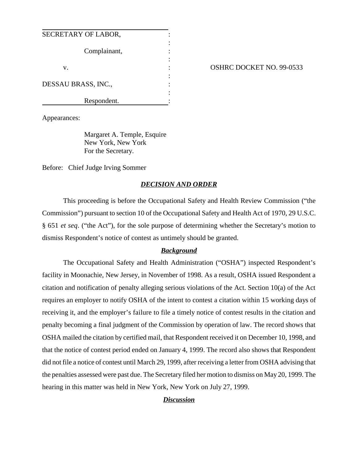| SECRETARY OF LABOR, |  |
|---------------------|--|
| Complainant,        |  |
| V.                  |  |
| DESSAU BRASS, INC., |  |
| Respondent.         |  |

## OSHRC DOCKET NO. 99-0533

Appearances:

Margaret A. Temple, Esquire New York, New York For the Secretary.

Before: Chief Judge Irving Sommer

## *DECISION AND ORDER*

This proceeding is before the Occupational Safety and Health Review Commission ("the Commission") pursuant to section 10 of the Occupational Safety and Health Act of 1970, 29 U.S.C. § 651 *et seq*. ("the Act"), for the sole purpose of determining whether the Secretary's motion to dismiss Respondent's notice of contest as untimely should be granted.

## *Background*

The Occupational Safety and Health Administration ("OSHA") inspected Respondent's facility in Moonachie, New Jersey, in November of 1998. As a result, OSHA issued Respondent a citation and notification of penalty alleging serious violations of the Act. Section 10(a) of the Act requires an employer to notify OSHA of the intent to contest a citation within 15 working days of receiving it, and the employer's failure to file a timely notice of contest results in the citation and penalty becoming a final judgment of the Commission by operation of law. The record shows that OSHA mailed the citation by certified mail, that Respondent received it on December 10, 1998, and that the notice of contest period ended on January 4, 1999. The record also shows that Respondent did not file a notice of contest until March 29, 1999, after receiving a letter from OSHA advising that the penalties assessed were past due. The Secretary filed her motion to dismiss on May 20, 1999. The hearing in this matter was held in New York, New York on July 27, 1999.

## *Discussion*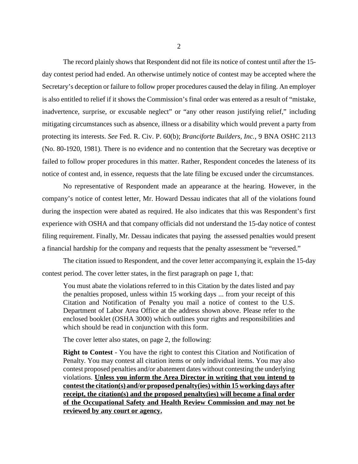The record plainly shows that Respondent did not file its notice of contest until after the 15 day contest period had ended. An otherwise untimely notice of contest may be accepted where the Secretary's deception or failure to follow proper procedures caused the delay in filing. An employer is also entitled to relief if it shows the Commission's final order was entered as a result of "mistake, inadvertence, surprise, or excusable neglect" or "any other reason justifying relief," including mitigating circumstances such as absence, illness or a disability which would prevent a party from protecting its interests. *See* Fed. R. Civ. P. 60(b); *Branciforte Builders, Inc.*, 9 BNA OSHC 2113 (No. 80-1920, 1981). There is no evidence and no contention that the Secretary was deceptive or failed to follow proper procedures in this matter. Rather, Respondent concedes the lateness of its notice of contest and, in essence, requests that the late filing be excused under the circumstances.

No representative of Respondent made an appearance at the hearing. However, in the company's notice of contest letter, Mr. Howard Dessau indicates that all of the violations found during the inspection were abated as required. He also indicates that this was Respondent's first experience with OSHA and that company officials did not understand the 15-day notice of contest filing requirement. Finally, Mr. Dessau indicates that paying the assessed penalties would present a financial hardship for the company and requests that the penalty assessment be "reversed."

The citation issued to Respondent, and the cover letter accompanying it, explain the 15-day contest period. The cover letter states, in the first paragraph on page 1, that:

You must abate the violations referred to in this Citation by the dates listed and pay the penalties proposed, unless within 15 working days ... from your receipt of this Citation and Notification of Penalty you mail a notice of contest to the U.S. Department of Labor Area Office at the address shown above. Please refer to the enclosed booklet (OSHA 3000) which outlines your rights and responsibilities and which should be read in conjunction with this form.

The cover letter also states, on page 2, the following:

**Right to Contest** - You have the right to contest this Citation and Notification of Penalty. You may contest all citation items or only individual items. You may also contest proposed penalties and/or abatement dates without contesting the underlying violations. **Unless you inform the Area Director in writing that you intend to contest the citation(s) and/or proposed penalty(ies) within 15 working days after receipt, the citation(s) and the proposed penalty(ies) will become a final order of the Occupational Safety and Health Review Commission and may not be reviewed by any court or agency.**